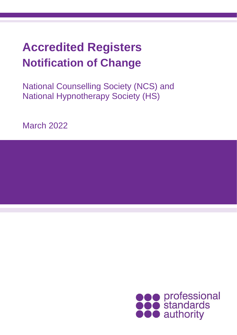# **Accredited Registers Notification of Change**

National Counselling Society (NCS) and National Hypnotherapy Society (HS)

March 2022

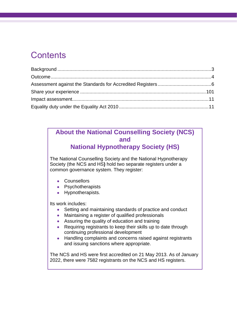# **Contents**

### **About the National Counselling Society (NCS) and**

**National Hypnotherapy Society (HS)**

The National Counselling Society and the National Hypnotherapy Society (the NCS and HS**)** hold two separate registers under a common governance system. They register:

- Counsellors
- Psychotherapists
- Hypnotherapists.

Its work includes:

- Setting and maintaining standards of practice and conduct
- Maintaining a register of qualified professionals
- Assuring the quality of education and training
- Requiring registrants to keep their skills up to date through continuing professional development
- Handling complaints and concerns raised against registrants and issuing sanctions where appropriate.

The NCS and HS were first accredited on 21 May 2013. As of January 2022, there were 7582 registrants on the NCS and HS registers.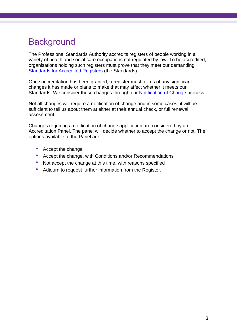# <span id="page-2-0"></span>**Background**

The Professional Standards Authority accredits registers of people working in a variety of health and social care occupations not regulated by law. To be accredited, organisations holding such registers must prove that they meet our demanding [Standards for Accredited Registers](https://www.professionalstandards.org.uk/accredited-registers/about-accredited-registers/our-standards) (the Standards).

Once accreditation has been granted, a register must tell us of any significant changes it has made or plans to make that may affect whether it meets our Standards. We consider these changes through our [Notification of Change](https://www.professionalstandards.org.uk/docs/default-source/accredited-registers/guidance-documents/notification-of-change-process-guide.pdf?sfvrsn=33d37520_8) process.

Not all changes will require a notification of change and in some cases, it will be sufficient to tell us about them at either at their annual check, or full renewal assessment.

Changes requiring a notification of change application are considered by an Accreditation Panel. The panel will decide whether to accept the change or not. The options available to the Panel are:

- **•** Accept the change
- **•** Accept the change, with Conditions and/or Recommendations
- Not accept the change at this time, with reasons specified
- **•** Adjourn to request further information from the Register.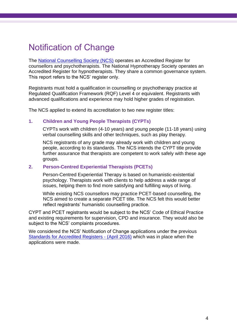# <span id="page-3-0"></span>Notification of Change

The [National Counselling Society \(NCS\)](https://nationalcounsellingsociety.org/) operates an Accredited Register for counsellors and psychotherapists. The National Hypnotherapy Society operates an Accredited Register for hypnotherapists. They share a common governance system. This report refers to the NCS' register only.

Registrants must hold a qualification in counselling or psychotherapy practice at Regulated Qualification Framework (RQF) Level 4 or equivalent. Registrants with advanced qualifications and experience may hold higher grades of registration.

The NCS applied to extend its accreditation to two new register titles:

### **1. Children and Young People Therapists (CYPTs)**

CYPTs work with children (4-10 years) and young people (11-18 years) using verbal counselling skills and other techniques, such as play therapy.

NCS registrants of any grade may already work with children and young people, according to its standards. The NCS intends the CYPT title provide further assurance that therapists are competent to work safely with these age groups.

### **2. Person-Centred Experiential Therapists (PCETs)**

Person-Centred Experiential Therapy is based on humanistic-existential psychology. Therapists work with clients to help address a wide range of issues, helping them to find more satisfying and fulfilling ways of living.

While existing NCS counsellors may practice PCET-based counselling, the NCS aimed to create a separate PCET title. The NCS felt this would better reflect registrants' humanistic counselling practice.

CYPT and PCET registrants would be subject to the NCS' Code of Ethical Practice and existing requirements for supervision, CPD and insurance. They would also be subject to the NCS' complaints procedures.

We considered the NCS' Notification of Change applications under the previous [Standards for Accredited Registers -](https://www.professionalstandards.org.uk/docs/default-source/accredited-registers/standards-for-accredited-registers/standards-for-accredited-registers-2016.pdf?sfvrsn=cfae4820_4) (April 2016) which was in place when the applications were made.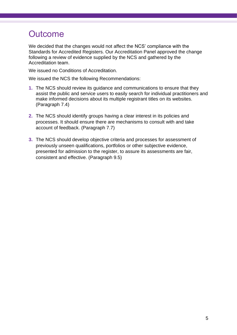# **Outcome**

We decided that the changes would not affect the NCS' compliance with the Standards for Accredited Registers. Our Accreditation Panel approved the change following a review of evidence supplied by the NCS and gathered by the Accreditation team.

We issued no Conditions of Accreditation.

We issued the NCS the following Recommendations:

- **1.** The NCS should review its guidance and communications to ensure that they assist the public and service users to easily search for individual practitioners and make informed decisions about its multiple registrant titles on its websites. (Paragraph 7.4)
- **2.** The NCS should identify groups having a clear interest in its policies and processes. It should ensure there are mechanisms to consult with and take account of feedback. (Paragraph 7.7)
- **3.** The NCS should develop objective criteria and processes for assessment of previously unseen qualifications, portfolios or other subjective evidence, presented for admission to the register, to assure its assessments are fair, consistent and effective. (Paragraph 9.5)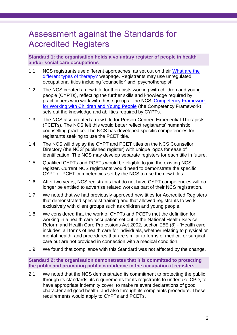## <span id="page-5-0"></span>Assessment against the Standards for Accredited Registers

**Standard 1: the organisation holds a voluntary register of people in health and/or social care occupations**

- 1.1 NCS registrants use different approaches, as set out on their What are the [different types of therapy?](https://nationalcounsellingsociety.org/counselling-directory/types-of-therapy) webpage. Registrants may use unregulated occupational titles including 'counsellor' and 'psychotherapist'.
- 1.2 The NCS created a new title for therapists working with children and young people (CYPTs), reflecting the further skills and knowledge required by practitioners who work with these groups. The NCS' [Competency Framework](http://cm.nationalcounsellingsociety.org/books/wsie/#p=1)  [for Working with Children and Young People](http://cm.nationalcounsellingsociety.org/books/wsie/#p=1) (the Competency Framework) sets out the knowledge and abilities required by CYPTs.
- 1.3 The NCS also created a new title for Person-Centred Experiential Therapists (PCETs). The NCS felt this would better reflect registrants' humanistic counselling practice. The NCS has developed specific competencies for registrants seeking to use the PCET title.
- 1.4 The NCS will display the CYPT and PCET titles on the NCS Counsellor Directory (the NCS' published register) with unique logos for ease of identification. The NCS may develop separate registers for each title in future.
- 1.5 Qualified CYPTs and PCETs would be eligible to join the existing NCS register. Current NCS registrants would need to demonstrate the specific CYPT or PCET competencies set by the NCS to use the new titles.
- 1.6 After two years, NCS registrants that do not have CYPT competencies will no longer be entitled to advertise related work as part of their NCS registration.
- 1.7 We noted that we had previously approved new titles for Accredited Registers that demonstrated specialist training and that allowed registrants to work exclusively with client groups such as children and young people.
- 1.8 We considered that the work of CYPTs and PCETs met the definition for working in a health care occupation set out in the National Health Service Reform and Health Care Professions Act 2002, section 25E (8) - 'Health care' includes: all forms of health care for individuals, whether relating to physical or mental health; and procedures that are similar to forms of medical or surgical care but are not provided in connection with a medical condition.'
- 1.9 We found that compliance with this Standard was not affected by the change.

**Standard 2: the organisation demonstrates that it is committed to protecting the public and promoting public confidence in the occupation it registers**

2.1 We noted that the NCS demonstrated its commitment to protecting the public through its standards, its requirements for its registrants to undertake CPD, to have appropriate indemnity cover, to make relevant declarations of good character and good health, and also through its complaints procedure. These requirements would apply to CYPTs and PCETs.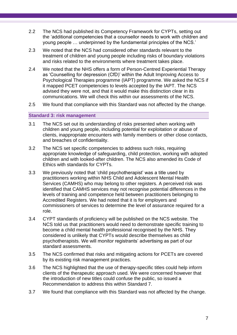- 2.2 The NCS had published its Competency Framework for CYPTs, setting out the 'additional competencies that a counsellor needs to work with children and young people … underpinned by the fundamental principles of the NCS.'
- 2.3 We noted that the NCS had considered other standards relevant to the treatment of children and young people including risks of boundary violations and risks related to the environments where treatment takes place.
- 2.4 We noted that the NHS offers a form of Person-Centred Experiential Therapy as 'Counselling for depression (CfD)' within the Adult Improving Access to Psychological Therapies programme (IAPT) programme. We asked the NCS if it mapped PCET competencies to levels accepted by the IAPT. The NCS advised they were not, and that it would make this distinction clear in its communications. We will check this within our assessments of the NCS.
- 2.5 We found that compliance with this Standard was not affected by the change.

### **Standard 3: risk management**

- 3.1 The NCS set out its understanding of risks presented when working with children and young people, including potential for exploitation or abuse of clients, inappropriate encounters with family members or other close contacts, and breaches of confidentiality.
- 3.2 The NCS set specific competencies to address such risks, requiring appropriate knowledge of safeguarding, child protection, working with adopted children and with looked-after children. The NCS also amended its Code of Ethics with standards for CYPTs.
- 3.3 We previously noted that 'child psychotherapist' was a title used by practitioners working within NHS Child and Adolescent Mental Health Services (CAMHS) who may belong to other registers. A perceived risk was identified that CAMHS services may not recognise potential differences in the levels of training and competence held between practitioners belonging to Accredited Registers. We had noted that it is for employers and commissioners of services to determine the level of assurance required for a role.
- 3.4 CYPT standards of proficiency will be published on the NCS website. The NCS told us that practitioners would need to demonstrate specific training to become a child mental health professional recognised by the NHS. They considered is unlikely that CYPTs would describe themselves as child psychotherapists. We will monitor registrants' advertising as part of our standard assessments.
- 3.5 The NCS confirmed that risks and mitigating actions for PCETs are covered by its existing risk management practices.
- 3.6 The NCS highlighted that the use of therapy-specific titles could help inform clients of the therapeutic approach used. We were concerned however that the introduction of new titles could confuse the public, so issued a Recommendation to address this within Standard 7.
- 3.7 We found that compliance with this Standard was not affected by the change.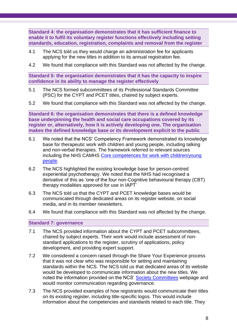**Standard 4: the organisation demonstrates that it has sufficient finance to enable it to fulfil its voluntary register functions effectively including setting standards, education, registration, complaints and removal from the register**

- 4.1 The NCS told us they would charge an administration fee for applicants applying for the new titles in addition to its annual registration fee.
- 4.2 We found that compliance with this Standard was not affected by the change.

**Standard 5: the organisation demonstrates that it has the capacity to inspire confidence in its ability to manage the register effectively**

- 5.1 The NCS formed subcommittees of its Professional Standards Committee (PSC) for the CYPT and PCET titles, chaired by subject experts.
- 5.2 We found that compliance with this Standard was not affected by the change.

**Standard 6: the organisation demonstrates that there is a defined knowledge base underpinning the health and social care occupations covered by its register or, alternatively, how it is actively developing one. The organisation makes the defined knowledge base or its development explicit to the public**

- 6.1 We noted that the NCS' Competency Framework demonstrated its knowledge base for therapeutic work with children and young people, including talking and non-verbal therapies. The framework referred to relevant sources including the NHS CAMHS [Core competences for work with children/young](https://www.ucl.ac.uk/pals/sites/pals/files/migrated-files/CAMHS_Complete_List_Competences_Children_and_Young_People.pdf)  [people.](https://www.ucl.ac.uk/pals/sites/pals/files/migrated-files/CAMHS_Complete_List_Competences_Children_and_Young_People.pdf)
- 6.2 The NCS highlighted the existing knowledge base for person-centred experiential psychotherapy. We noted that the NHS had recognised a derivative of this as 'one of the four non-Cognitive behavioural therapy (CBT) therapy modalities approved for use in IAPT'
- 6.3 The NCS told us that the CYPT and PCET knowledge bases would be communicated through dedicated areas on its register website, on social media, and in its member newsletters.
- 6.4 We found that compliance with this Standard was not affected by the change.

### **Standard 7: governance**

- 7.1 The NCS provided information about the CYPT and PCET subcommittees, chaired by subject experts. Their work would include assessment of nonstandard applications to the register, scrutiny of applications, policy development, and providing expert support.
- 7.2 We considered a concern raised through the Share Your Experience process that it was not clear who was responsible for setting and maintaining standards within the NCS. The NCS told us that dedicated areas of its website would be developed to communicate information about the new titles. We noted the information provided on the NCS' [Society Committees](https://nationalcounsellingsociety.org/about-us/governance/society-committees) webpage and would monitor communication regarding governance.
- 7.3 The NCS provided examples of how registrants would communicate their titles on its existing register, including title-specific logos. This would include information about the competencies and standards related to each title. They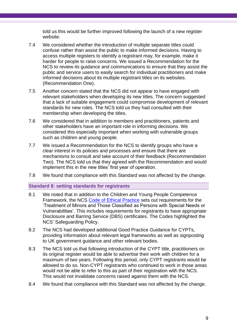told us this would be further improved following the launch of a new register website.

- 7.4 We considered whether the introduction of multiple separate titles could confuse rather than assist the public to make informed decisions. Having to access multiple registers to identify a registrant may, for example, make it harder for people to raise concerns. We issued a Recommendation for the NCS to review its guidance and communications to ensure that they assist the public and service users to easily search for individual practitioners and make informed decisions about its multiple registrant titles on its websites. (Recommendation One).
- 7.5 Another concern stated that the NCS did not appear to have engaged with relevant stakeholders when developing its new titles. The concern suggested that a lack of suitable engagement could compromise development of relevant standards for new roles. The NCS told us they had consulted with their membership when developing the titles.
- 7.6 We considered that in addition to members and practitioners, patients and other stakeholders have an important role in informing decisions. We considered this especially important when working with vulnerable groups such as children and young people.
- 7.7 We issued a Recommendation for the NCS to identify groups who have a clear interest in its policies and processes and ensure that there are mechanisms to consult and take account of their feedback (Recommendation Two). The NCS told us that they agreed with the Recommendation and would implement this in the new titles' first year of operation.
- 7.8 We found that compliance with this Standard was not affected by the change.

### **Standard 8: setting standards for registrants**

- 8.1 We noted that in addition to the Children and Young People Competence Framework, the NCS [Code of Ethical Practice](https://nationalcounsellingsociety.org/about-us/code-of-ethics) sets out requirements for the 'Treatment of Minors and Those Classified as Persons with Special Needs or Vulnerabilities'. This includes requirements for registrants to have appropriate Disclosure and Barring Service (DBS) certificates. The Codes highlighted the NCS' Safeguarding Policy.
- 8.2 The NCS had developed additional Good Practice Guidance for CYPTs, providing information about relevant legal frameworks as well as signposting to UK government guidance and other relevant bodies.
- 8.3 The NCS told us that following introduction of the CYPT title, practitioners on its original register would be able to advertise their work with children for a maximum of two years. Following this period, only CYPT registrants would be allowed to do so. Non-CYPT registrants who continued to work in those areas would not be able to refer to this as part of their registration with the NCS. This would not invalidate concerns raised against them with the NCS.
- 8.4 We found that compliance with this Standard was not affected by the change.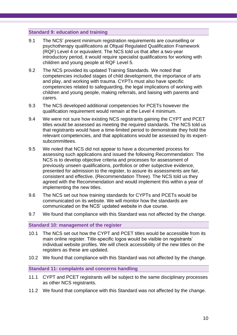### **Standard 9: education and training**

- 9.1 The NCS' present minimum registration requirements are counselling or psychotherapy qualifications at Ofqual Regulated Qualification Framework (RQF) Level 4 or equivalent. The NCS told us that after a two-year introductory period, it would require specialist qualifications for working with children and young people at RQF Level 5.
- 9.2 The NCS provided its updated Training Standards. We noted that competencies included stages of child development, the importance of arts and play, and working with trauma. CYPTs must also have specific competencies related to safeguarding, the legal implications of working with children and young people, making referrals, and liaising with parents and carers.
- 9.3 The NCS developed additional competencies for PCETs however the qualification requirement would remain at the Level 4 minimum.
- 9.4 We were not sure how existing NCS registrants gaining the CYPT and PCET titles would be assessed as meeting the required standards. The NCS told us that registrants would have a time-limited period to demonstrate they hold the relevant competencies, and that applications would be assessed by its expertsubcommittees.
- 9.5 We noted that NCS did not appear to have a documented process for assessing such applications and issued the following Recommendation: The NCS is to develop objective criteria and processes for assessment of previously unseen qualifications, portfolios or other subjective evidence, presented for admission to the register, to assure its assessments are fair, consistent and effective. (Recommendation Three). The NCS told us they agreed with the Recommendation and would implement this within a year of implementing the new titles.
- 9.6 The NCS set out how training standards for CYPTs and PCETs would be communicated on its website. We will monitor how the standards are communicated on the NCS' updated website in due course.
- 9.7 We found that compliance with this Standard was not affected by the change.

**Standard 10: management of the register** 

- 10.1 The NCS set out how the CYPT and PCET titles would be accessible from its main online register. Title-specific logos would be visible on registrants' individual website profiles. We will check accessibility of the new titles on the registers as these are updated.
- 10.2 We found that compliance with this Standard was not affected by the change.

**Standard 11: complaints and concerns handling** 

- <span id="page-9-0"></span>11.1 CYPT and PCET registrants will be subject to the same disciplinary processes as other NCS registrants.
- 11.2 We found that compliance with this Standard was not affected by the change.